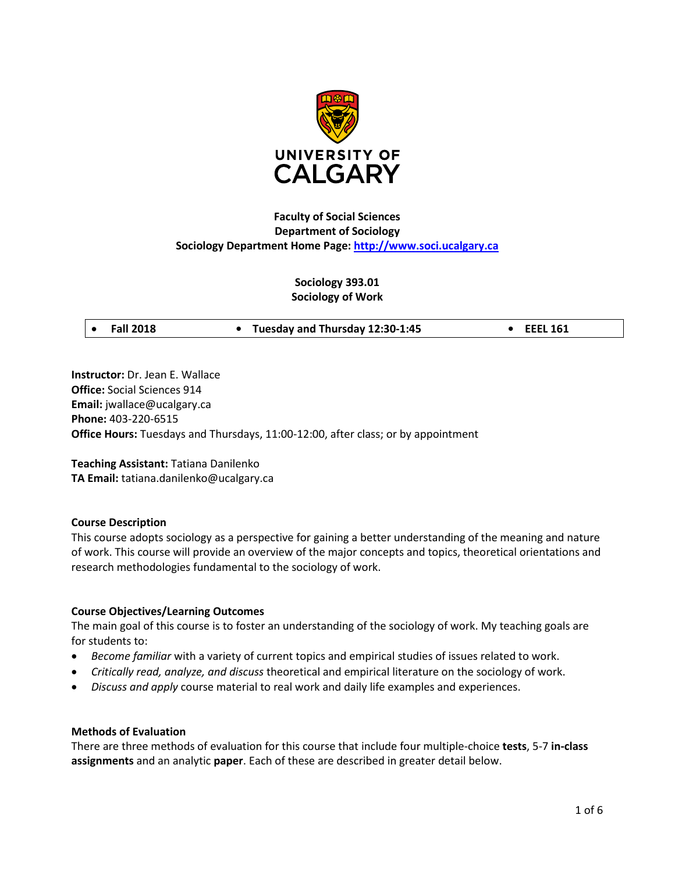

# **Faculty of Social Sciences Department of Sociology Sociology Department Home Page: [http://www.soci.ucalgary.ca](http://www.soci.ucalgary.ca/)**

# **Sociology 393.01 Sociology of Work**

|  | <b>Fall 2018</b> |
|--|------------------|

• **Fall 2018 • Tuesday and Thursday 12:30-1:45 • EEEL 161**

**Instructor:** Dr. Jean E. Wallace **Office:** Social Sciences 914 **Email:** jwallace@ucalgary.ca **Phone:** 403-220-6515 **Office Hours:** Tuesdays and Thursdays, 11:00-12:00, after class; or by appointment

**Teaching Assistant:** Tatiana Danilenko **TA Email:** tatiana.danilenko@ucalgary.ca

# **Course Description**

This course adopts sociology as a perspective for gaining a better understanding of the meaning and nature of work. This course will provide an overview of the major concepts and topics, theoretical orientations and research methodologies fundamental to the sociology of work.

# **Course Objectives/Learning Outcomes**

The main goal of this course is to foster an understanding of the sociology of work. My teaching goals are for students to:

- *Become familiar* with a variety of current topics and empirical studies of issues related to work.
- *Critically read, analyze, and discuss* theoretical and empirical literature on the sociology of work.
- *Discuss and apply* course material to real work and daily life examples and experiences.

#### **Methods of Evaluation**

There are three methods of evaluation for this course that include four multiple-choice **tests**, 5-7 **in-class assignments** and an analytic **paper**. Each of these are described in greater detail below.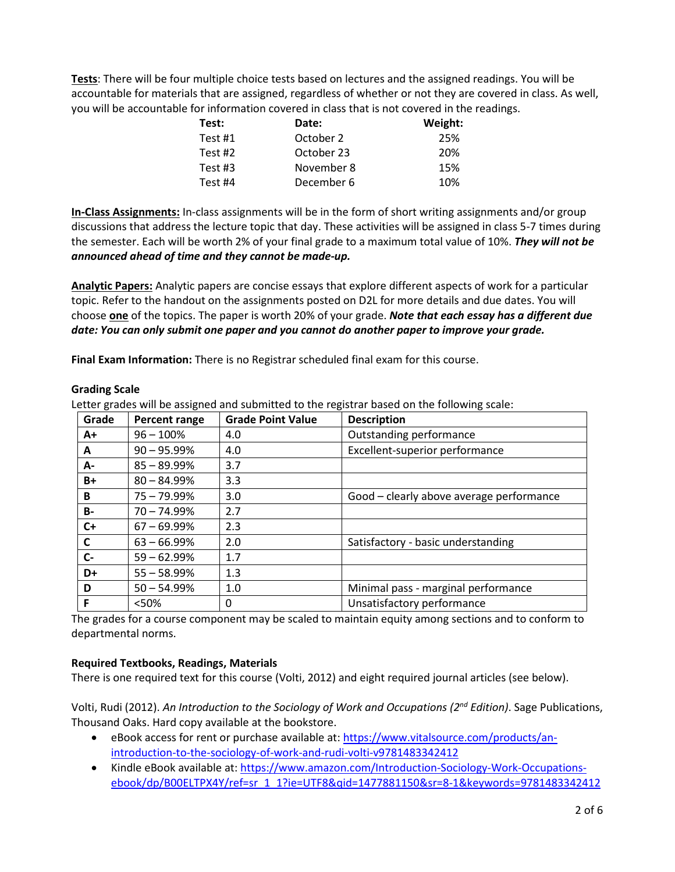**Tests**: There will be four multiple choice tests based on lectures and the assigned readings. You will be accountable for materials that are assigned, regardless of whether or not they are covered in class. As well, you will be accountable for information covered in class that is not covered in the readings.

| Test:     | Date:      | Weight: |
|-----------|------------|---------|
| Test $#1$ | October 2  | 25%     |
| Test $#2$ | October 23 | 20%     |
| Test $#3$ | November 8 | 15%     |
| Test #4   | December 6 | 10%     |

**In-Class Assignments:** In-class assignments will be in the form of short writing assignments and/or group discussions that address the lecture topic that day. These activities will be assigned in class 5-7 times during the semester. Each will be worth 2% of your final grade to a maximum total value of 10%. *They will not be announced ahead of time and they cannot be made-up.*

**Analytic Papers:** Analytic papers are concise essays that explore different aspects of work for a particular topic. Refer to the handout on the assignments posted on D2L for more details and due dates. You will choose **one** of the topics. The paper is worth 20% of your grade. *Note that each essay has a different due date: You can only submit one paper and you cannot do another paper to improve your grade.*

**Final Exam Information:** There is no Registrar scheduled final exam for this course.

| Grade     | Percent range  | <b>Grade Point Value</b> | <b>Description</b>                       |
|-----------|----------------|--------------------------|------------------------------------------|
| A+        | $96 - 100\%$   | 4.0                      | Outstanding performance                  |
| A         | $90 - 95.99\%$ | 4.0                      | Excellent-superior performance           |
| А-        | $85 - 89.99\%$ | 3.7                      |                                          |
| $B+$      | $80 - 84.99%$  | 3.3                      |                                          |
| B         | $75 - 79.99\%$ | 3.0                      | Good - clearly above average performance |
| <b>B-</b> | $70 - 74.99\%$ | 2.7                      |                                          |
| $C+$      | $67 - 69.99\%$ | 2.3                      |                                          |
| C         | $63 - 66.99%$  | 2.0                      | Satisfactory - basic understanding       |
| $C-$      | $59 - 62.99%$  | 1.7                      |                                          |
| D+        | $55 - 58.99%$  | 1.3                      |                                          |
| D         | $50 - 54.99%$  | 1.0                      | Minimal pass - marginal performance      |
| F         | < 50%          | 0                        | Unsatisfactory performance               |

**Grading Scale**

Letter grades will be assigned and submitted to the registrar based on the following scale:

The grades for a course component may be scaled to maintain equity among sections and to conform to departmental norms.

# **Required Textbooks, Readings, Materials**

There is one required text for this course (Volti, 2012) and eight required journal articles (see below).

Volti, Rudi (2012). *An Introduction to the Sociology of Work and Occupations (2nd Edition)*. Sage Publications, Thousand Oaks. Hard copy available at the bookstore.

- eBook access for rent or purchase available at: [https://www.vitalsource.com/products/an](https://www.vitalsource.com/products/an-introduction-to-the-sociology-of-work-and-rudi-volti-v9781483342412)[introduction-to-the-sociology-of-work-and-rudi-volti-v9781483342412](https://www.vitalsource.com/products/an-introduction-to-the-sociology-of-work-and-rudi-volti-v9781483342412)
- Kindle eBook available at: [https://www.amazon.com/Introduction-Sociology-Work-Occupations](https://www.amazon.com/Introduction-Sociology-Work-Occupations-ebook/dp/B00ELTPX4Y/ref=sr_1_1?ie=UTF8&qid=1477881150&sr=8-1&keywords=9781483342412)[ebook/dp/B00ELTPX4Y/ref=sr\\_1\\_1?ie=UTF8&qid=1477881150&sr=8-1&keywords=9781483342412](https://www.amazon.com/Introduction-Sociology-Work-Occupations-ebook/dp/B00ELTPX4Y/ref=sr_1_1?ie=UTF8&qid=1477881150&sr=8-1&keywords=9781483342412)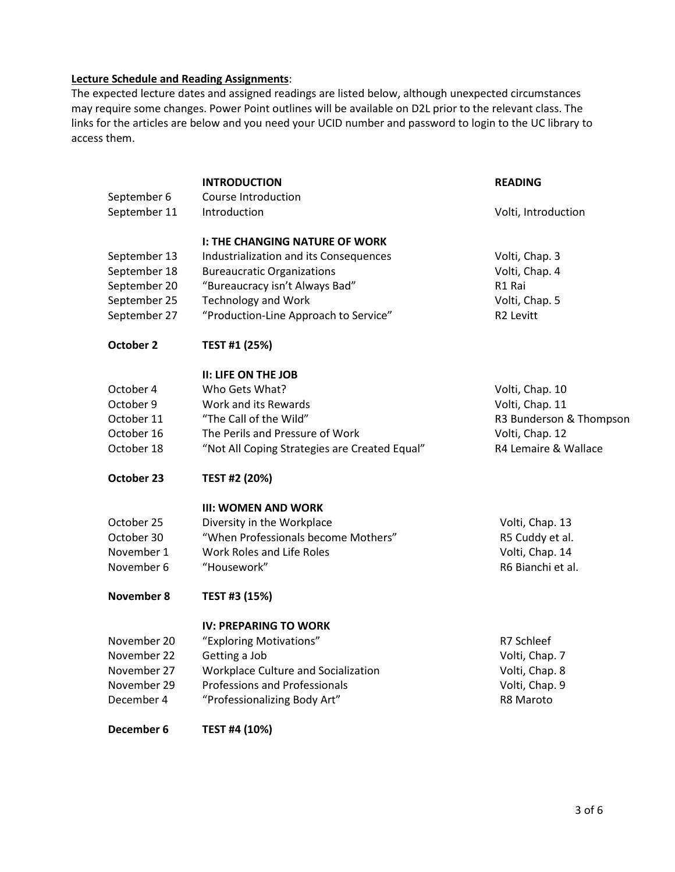# **Lecture Schedule and Reading Assignments**:

The expected lecture dates and assigned readings are listed below, although unexpected circumstances may require some changes. Power Point outlines will be available on D2L prior to the relevant class. The links for the articles are below and you need your UCID number and password to login to the UC library to access them.

|                             | <b>INTRODUCTION</b>                           | <b>READING</b>          |
|-----------------------------|-----------------------------------------------|-------------------------|
| September 6<br>September 11 | Course Introduction<br>Introduction           | Volti, Introduction     |
|                             | <b>I: THE CHANGING NATURE OF WORK</b>         |                         |
| September 13                | Industrialization and its Consequences        | Volti, Chap. 3          |
| September 18                | <b>Bureaucratic Organizations</b>             | Volti, Chap. 4          |
| September 20                | "Bureaucracy isn't Always Bad"                | R1 Rai                  |
| September 25                | <b>Technology and Work</b>                    | Volti, Chap. 5          |
| September 27                | "Production-Line Approach to Service"         | R2 Levitt               |
| October 2                   | TEST #1 (25%)                                 |                         |
|                             | <b>II: LIFE ON THE JOB</b>                    |                         |
| October 4                   | Who Gets What?                                | Volti, Chap. 10         |
| October 9                   | Work and its Rewards                          | Volti, Chap. 11         |
| October 11                  | "The Call of the Wild"                        | R3 Bunderson & Thompson |
| October 16                  | The Perils and Pressure of Work               | Volti, Chap. 12         |
| October 18                  | "Not All Coping Strategies are Created Equal" | R4 Lemaire & Wallace    |
| October 23                  | TEST #2 (20%)                                 |                         |
|                             | <b>III: WOMEN AND WORK</b>                    |                         |
| October 25                  | Diversity in the Workplace                    | Volti, Chap. 13         |
| October 30                  | "When Professionals become Mothers"           | R5 Cuddy et al.         |
| November 1                  | Work Roles and Life Roles                     | Volti, Chap. 14         |
| November 6                  | "Housework"                                   | R6 Bianchi et al.       |
| <b>November 8</b>           | TEST #3 (15%)                                 |                         |
|                             | <b>IV: PREPARING TO WORK</b>                  |                         |
| November 20                 | "Exploring Motivations"                       | R7 Schleef              |
| November 22                 | Getting a Job                                 | Volti, Chap. 7          |
| November 27                 | Workplace Culture and Socialization           | Volti, Chap. 8          |
| November 29                 | <b>Professions and Professionals</b>          | Volti, Chap. 9          |
| December 4                  | "Professionalizing Body Art"                  | R8 Maroto               |
| December 6                  | TEST #4 (10%)                                 |                         |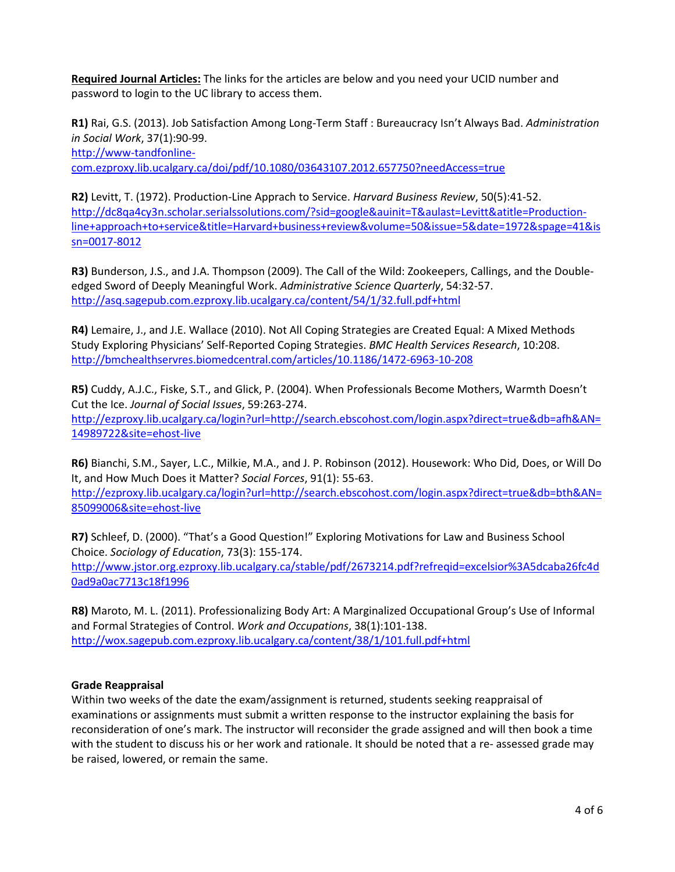**Required Journal Articles:** The links for the articles are below and you need your UCID number and password to login to the UC library to access them.

**R1)** Rai, G.S. (2013). Job Satisfaction Among Long-Term Staff : Bureaucracy Isn't Always Bad. *Administration in Social Work*, 37(1):90-99.

[http://www-tandfonline-](http://www-tandfonline-com.ezproxy.lib.ucalgary.ca/doi/pdf/10.1080/03643107.2012.657750?needAccess=true)

[com.ezproxy.lib.ucalgary.ca/doi/pdf/10.1080/03643107.2012.657750?needAccess=true](http://www-tandfonline-com.ezproxy.lib.ucalgary.ca/doi/pdf/10.1080/03643107.2012.657750?needAccess=true)

**R2)** Levitt, T. (1972). Production-Line Apprach to Service. *Harvard Business Review*, 50(5):41-52. [http://dc8qa4cy3n.scholar.serialssolutions.com/?sid=google&auinit=T&aulast=Levitt&atitle=Production](http://dc8qa4cy3n.scholar.serialssolutions.com/?sid=google&auinit=T&aulast=Levitt&atitle=Production-line+approach+to+service&title=Harvard+business+review&volume=50&issue=5&date=1972&spage=41&issn=0017-8012)[line+approach+to+service&title=Harvard+business+review&volume=50&issue=5&date=1972&spage=41&is](http://dc8qa4cy3n.scholar.serialssolutions.com/?sid=google&auinit=T&aulast=Levitt&atitle=Production-line+approach+to+service&title=Harvard+business+review&volume=50&issue=5&date=1972&spage=41&issn=0017-8012) [sn=0017-8012](http://dc8qa4cy3n.scholar.serialssolutions.com/?sid=google&auinit=T&aulast=Levitt&atitle=Production-line+approach+to+service&title=Harvard+business+review&volume=50&issue=5&date=1972&spage=41&issn=0017-8012)

**R3)** Bunderson, J.S., and J.A. Thompson (2009). The Call of the Wild: Zookeepers, Callings, and the Doubleedged Sword of Deeply Meaningful Work. *Administrative Science Quarterly*, 54:32-57. <http://asq.sagepub.com.ezproxy.lib.ucalgary.ca/content/54/1/32.full.pdf+html>

**R4)** Lemaire, J., and J.E. Wallace (2010). Not All Coping Strategies are Created Equal: A Mixed Methods Study Exploring Physicians' Self-Reported Coping Strategies. *BMC Health Services Research*, 10:208. <http://bmchealthservres.biomedcentral.com/articles/10.1186/1472-6963-10-208>

**R5)** Cuddy, A.J.C., Fiske, S.T., and Glick, P. (2004). When Professionals Become Mothers, Warmth Doesn't Cut the Ice. *Journal of Social Issues*, 59:263-274. [http://ezproxy.lib.ucalgary.ca/login?url=http://search.ebscohost.com/login.aspx?direct=true&db=afh&AN=](http://ezproxy.lib.ucalgary.ca/login?url=http://search.ebscohost.com/login.aspx?direct=true&db=afh&AN=14989722&site=ehost-live) [14989722&site=ehost-live](http://ezproxy.lib.ucalgary.ca/login?url=http://search.ebscohost.com/login.aspx?direct=true&db=afh&AN=14989722&site=ehost-live)

**R6)** Bianchi, S.M., Sayer, L.C., Milkie, M.A., and J. P. Robinson (2012). Housework: Who Did, Does, or Will Do It, and How Much Does it Matter? *Social Forces*, 91(1): 55-63.

[http://ezproxy.lib.ucalgary.ca/login?url=http://search.ebscohost.com/login.aspx?direct=true&db=bth&AN=](http://ezproxy.lib.ucalgary.ca/login?url=http://search.ebscohost.com/login.aspx?direct=true&db=bth&AN=85099006&site=ehost-live) [85099006&site=ehost-live](http://ezproxy.lib.ucalgary.ca/login?url=http://search.ebscohost.com/login.aspx?direct=true&db=bth&AN=85099006&site=ehost-live)

**R7)** Schleef, D. (2000). "That's a Good Question!" Exploring Motivations for Law and Business School Choice. *Sociology of Education*, 73(3): 155-174. [http://www.jstor.org.ezproxy.lib.ucalgary.ca/stable/pdf/2673214.pdf?refreqid=excelsior%3A5dcaba26fc4d](http://www.jstor.org.ezproxy.lib.ucalgary.ca/stable/pdf/2673214.pdf?refreqid=excelsior%3A5dcaba26fc4d0ad9a0ac7713c18f1996) [0ad9a0ac7713c18f1996](http://www.jstor.org.ezproxy.lib.ucalgary.ca/stable/pdf/2673214.pdf?refreqid=excelsior%3A5dcaba26fc4d0ad9a0ac7713c18f1996)

**R8)** Maroto, M. L. (2011). Professionalizing Body Art: A Marginalized Occupational Group's Use of Informal and Formal Strategies of Control. *Work and Occupations*, 38(1):101-138. <http://wox.sagepub.com.ezproxy.lib.ucalgary.ca/content/38/1/101.full.pdf+html>

#### **Grade Reappraisal**

Within two weeks of the date the exam/assignment is returned, students seeking reappraisal of examinations or assignments must submit a written response to the instructor explaining the basis for reconsideration of one's mark. The instructor will reconsider the grade assigned and will then book a time with the student to discuss his or her work and rationale. It should be noted that a re- assessed grade may be raised, lowered, or remain the same.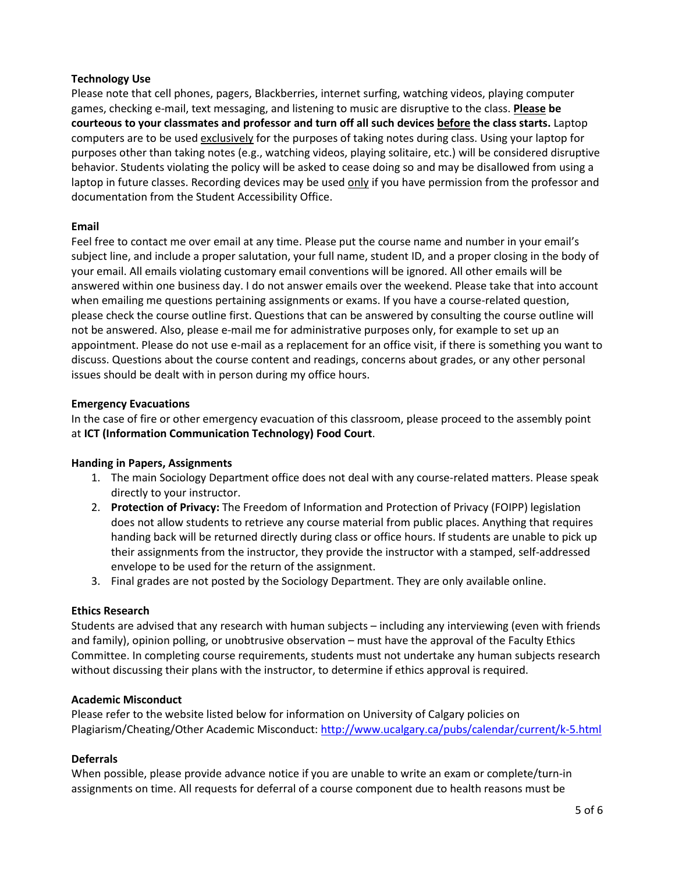# **Technology Use**

Please note that cell phones, pagers, Blackberries, internet surfing, watching videos, playing computer games, checking e-mail, text messaging, and listening to music are disruptive to the class. **Please be courteous to your classmates and professor and turn off all such devices before the class starts.** Laptop computers are to be used exclusively for the purposes of taking notes during class. Using your laptop for purposes other than taking notes (e.g., watching videos, playing solitaire, etc.) will be considered disruptive behavior. Students violating the policy will be asked to cease doing so and may be disallowed from using a laptop in future classes. Recording devices may be used only if you have permission from the professor and documentation from the Student Accessibility Office.

# **Email**

Feel free to contact me over email at any time. Please put the course name and number in your email's subject line, and include a proper salutation, your full name, student ID, and a proper closing in the body of your email. All emails violating customary email conventions will be ignored. All other emails will be answered within one business day. I do not answer emails over the weekend. Please take that into account when emailing me questions pertaining assignments or exams. If you have a course-related question, please check the course outline first. Questions that can be answered by consulting the course outline will not be answered. Also, please e-mail me for administrative purposes only, for example to set up an appointment. Please do not use e-mail as a replacement for an office visit, if there is something you want to discuss. Questions about the course content and readings, concerns about grades, or any other personal issues should be dealt with in person during my office hours.

### **Emergency Evacuations**

In the case of fire or other emergency evacuation of this classroom, please proceed to the assembly point at **ICT (Information Communication Technology) Food Court**.

#### **Handing in Papers, Assignments**

- 1. The main Sociology Department office does not deal with any course-related matters. Please speak directly to your instructor.
- 2. **Protection of Privacy:** The Freedom of Information and Protection of Privacy (FOIPP) legislation does not allow students to retrieve any course material from public places. Anything that requires handing back will be returned directly during class or office hours. If students are unable to pick up their assignments from the instructor, they provide the instructor with a stamped, self-addressed envelope to be used for the return of the assignment.
- 3. Final grades are not posted by the Sociology Department. They are only available online.

#### **Ethics Research**

Students are advised that any research with human subjects – including any interviewing (even with friends and family), opinion polling, or unobtrusive observation – must have the approval of the Faculty Ethics Committee. In completing course requirements, students must not undertake any human subjects research without discussing their plans with the instructor, to determine if ethics approval is required.

#### **Academic Misconduct**

Please refer to the website listed below for information on University of Calgary policies on Plagiarism/Cheating/Other Academic Misconduct:<http://www.ucalgary.ca/pubs/calendar/current/k-5.html>

# **Deferrals**

When possible, please provide advance notice if you are unable to write an exam or complete/turn-in assignments on time. All requests for deferral of a course component due to health reasons must be